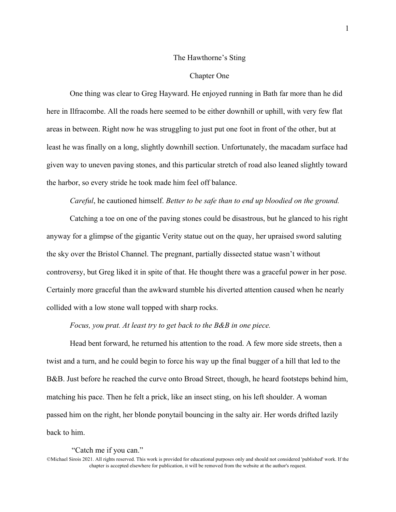### The Hawthorne's Sting

### Chapter One

One thing was clear to Greg Hayward. He enjoyed running in Bath far more than he did here in Ilfracombe. All the roads here seemed to be either downhill or uphill, with very few flat areas in between. Right now he was struggling to just put one foot in front of the other, but at least he was finally on a long, slightly downhill section. Unfortunately, the macadam surface had given way to uneven paving stones, and this particular stretch of road also leaned slightly toward the harbor, so every stride he took made him feel off balance.

# *Careful*, he cautioned himself. *Better to be safe than to end up bloodied on the ground.*

Catching a toe on one of the paving stones could be disastrous, but he glanced to his right anyway for a glimpse of the gigantic Verity statue out on the quay, her upraised sword saluting the sky over the Bristol Channel. The pregnant, partially dissected statue wasn't without controversy, but Greg liked it in spite of that. He thought there was a graceful power in her pose. Certainly more graceful than the awkward stumble his diverted attention caused when he nearly collided with a low stone wall topped with sharp rocks.

# *Focus, you prat. At least try to get back to the B&B in one piece.*

Head bent forward, he returned his attention to the road. A few more side streets, then a twist and a turn, and he could begin to force his way up the final bugger of a hill that led to the B&B. Just before he reached the curve onto Broad Street, though, he heard footsteps behind him, matching his pace. Then he felt a prick, like an insect sting, on his left shoulder. A woman passed him on the right, her blonde ponytail bouncing in the salty air. Her words drifted lazily back to him.

#### "Catch me if you can."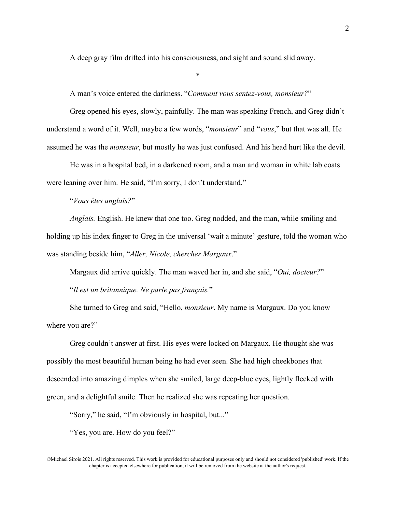A deep gray film drifted into his consciousness, and sight and sound slid away.

\*

A man's voice entered the darkness. "*Comment vous sentez-vous, monsieur?*"

Greg opened his eyes, slowly, painfully. The man was speaking French, and Greg didn't understand a word of it. Well, maybe a few words, "*monsieur*" and "*vous*," but that was all. He assumed he was the *monsieur*, but mostly he was just confused. And his head hurt like the devil.

He was in a hospital bed, in a darkened room, and a man and woman in white lab coats were leaning over him. He said, "I'm sorry, I don't understand."

"*Vous êtes anglais?*"

*Anglais.* English. He knew that one too. Greg nodded, and the man, while smiling and holding up his index finger to Greg in the universal 'wait a minute' gesture, told the woman who was standing beside him, "*Aller, Nicole, chercher Margaux*."

Margaux did arrive quickly. The man waved her in, and she said, "*Oui, docteur?*"

"*Il est un britannique. Ne parle pas français.*"

She turned to Greg and said, "Hello, *monsieur*. My name is Margaux. Do you know where you are?"

Greg couldn't answer at first. His eyes were locked on Margaux. He thought she was possibly the most beautiful human being he had ever seen. She had high cheekbones that descended into amazing dimples when she smiled, large deep-blue eyes, lightly flecked with green, and a delightful smile. Then he realized she was repeating her question.

"Sorry," he said, "I'm obviously in hospital, but..."

"Yes, you are. How do you feel?"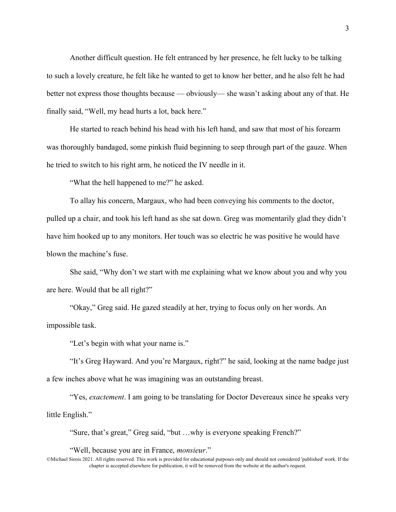Another difficult question. He felt entranced by her presence, he felt lucky to be talking to such a lovely creature, he felt like he wanted to get to know her better, and he also felt he had better not express those thoughts because — obviously— she wasn't asking about any of that. He finally said, "Well, my head hurts a lot, back here."

He started to reach behind his head with his left hand, and saw that most of his forearm was thoroughly bandaged, some pinkish fluid beginning to seep through part of the gauze. When he tried to switch to his right arm, he noticed the IV needle in it.

"What the hell happened to me?" he asked.

To allay his concern, Margaux, who had been conveying his comments to the doctor, pulled up a chair, and took his left hand as she sat down. Greg was momentarily glad they didn't have him hooked up to any monitors. Her touch was so electric he was positive he would have blown the machine's fuse.

She said, "Why don't we start with me explaining what we know about you and why you are here. Would that be all right?"

"Okay," Greg said. He gazed steadily at her, trying to focus only on her words. An impossible task.

"Let's begin with what your name is."

"It's Greg Hayward. And you're Margaux, right?" he said, looking at the name badge just a few inches above what he was imagining was an outstanding breast.

"Yes, *exactement*. I am going to be translating for Doctor Devereaux since he speaks very little English."

"Sure, that's great," Greg said, "but …why is everyone speaking French?"

"Well, because you are in France, *monsieur*."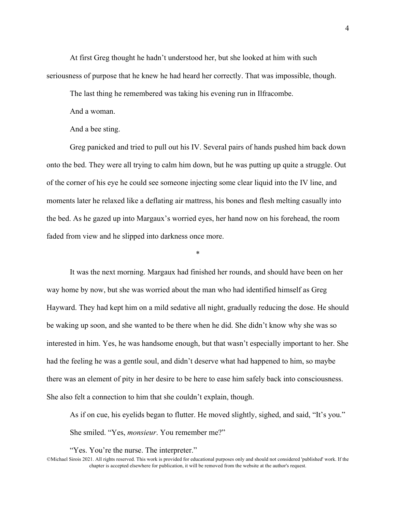At first Greg thought he hadn't understood her, but she looked at him with such seriousness of purpose that he knew he had heard her correctly. That was impossible, though.

The last thing he remembered was taking his evening run in Ilfracombe.

And a woman.

And a bee sting.

Greg panicked and tried to pull out his IV. Several pairs of hands pushed him back down onto the bed. They were all trying to calm him down, but he was putting up quite a struggle. Out of the corner of his eye he could see someone injecting some clear liquid into the IV line, and moments later he relaxed like a deflating air mattress, his bones and flesh melting casually into the bed. As he gazed up into Margaux's worried eyes, her hand now on his forehead, the room faded from view and he slipped into darkness once more.

\*

It was the next morning. Margaux had finished her rounds, and should have been on her way home by now, but she was worried about the man who had identified himself as Greg Hayward. They had kept him on a mild sedative all night, gradually reducing the dose. He should be waking up soon, and she wanted to be there when he did. She didn't know why she was so interested in him. Yes, he was handsome enough, but that wasn't especially important to her. She had the feeling he was a gentle soul, and didn't deserve what had happened to him, so maybe there was an element of pity in her desire to be here to ease him safely back into consciousness. She also felt a connection to him that she couldn't explain, though.

As if on cue, his eyelids began to flutter. He moved slightly, sighed, and said, "It's you." She smiled. "Yes, *monsieur*. You remember me?"

"Yes. You're the nurse. The interpreter."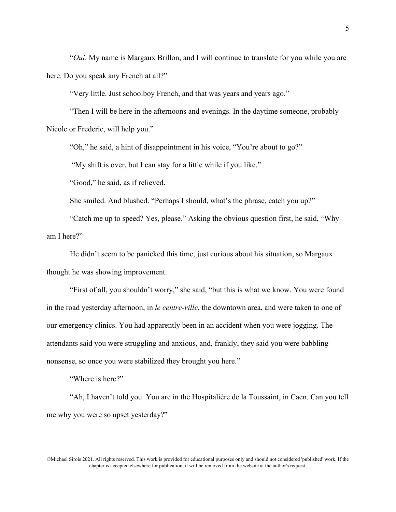"*Oui*. My name is Margaux Brillon, and I will continue to translate for you while you are here. Do you speak any French at all?"

"Very little. Just schoolboy French, and that was years and years ago."

"Then I will be here in the afternoons and evenings. In the daytime someone, probably Nicole or Frederic, will help you."

"Oh," he said, a hint of disappointment in his voice, "You're about to go?"

"My shift is over, but I can stay for a little while if you like."

"Good," he said, as if relieved.

She smiled. And blushed. "Perhaps I should, what's the phrase, catch you up?"

"Catch me up to speed? Yes, please." Asking the obvious question first, he said, "Why am I here?"

He didn't seem to be panicked this time, just curious about his situation, so Margaux thought he was showing improvement.

"First of all, you shouldn't worry," she said, "but this is what we know. You were found in the road yesterday afternoon, in *le centre-ville*, the downtown area, and were taken to one of our emergency clinics. You had apparently been in an accident when you were jogging. The attendants said you were struggling and anxious, and, frankly, they said you were babbling nonsense, so once you were stabilized they brought you here."

"Where is here?"

"Ah, I haven't told you. You are in the Hospitalière de la Toussaint, in Caen. Can you tell me why you were so upset yesterday?"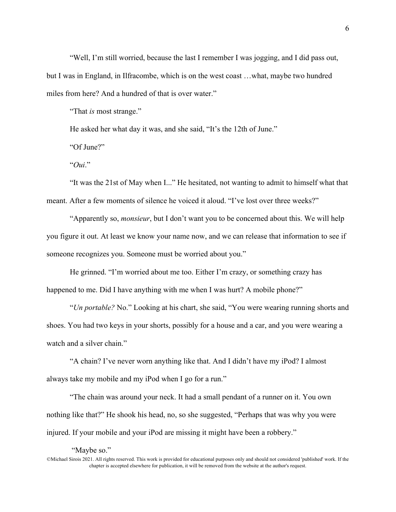"Well, I'm still worried, because the last I remember I was jogging, and I did pass out, but I was in England, in Ilfracombe, which is on the west coast …what, maybe two hundred miles from here? And a hundred of that is over water."

"That *is* most strange."

He asked her what day it was, and she said, "It's the 12th of June."

"Of June?"

"*Oui*."

"It was the 21st of May when I..." He hesitated, not wanting to admit to himself what that meant. After a few moments of silence he voiced it aloud. "I've lost over three weeks?"

"Apparently so, *monsieur*, but I don't want you to be concerned about this. We will help you figure it out. At least we know your name now, and we can release that information to see if someone recognizes you. Someone must be worried about you."

He grinned. "I'm worried about me too. Either I'm crazy, or something crazy has happened to me. Did I have anything with me when I was hurt? A mobile phone?"

"*Un portable?* No." Looking at his chart, she said, "You were wearing running shorts and shoes. You had two keys in your shorts, possibly for a house and a car, and you were wearing a watch and a silver chain."

"A chain? I've never worn anything like that. And I didn't have my iPod? I almost always take my mobile and my iPod when I go for a run."

"The chain was around your neck. It had a small pendant of a runner on it. You own nothing like that?" He shook his head, no, so she suggested, "Perhaps that was why you were injured. If your mobile and your iPod are missing it might have been a robbery."

"Maybe so."

<sup>©</sup>Michael Sirois 2021. All rights reserved. This work is provided for educational purposes only and should not considered 'published' work. If the chapter is accepted elsewhere for publication, it will be removed from the website at the author's request.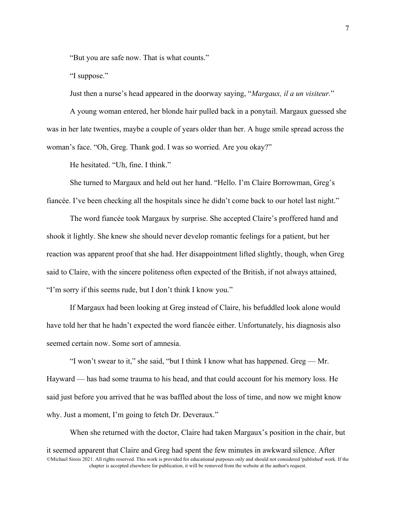"But you are safe now. That is what counts."

"I suppose."

Just then a nurse's head appeared in the doorway saying, "*Margaux, il a un visiteur.*"

A young woman entered, her blonde hair pulled back in a ponytail. Margaux guessed she was in her late twenties, maybe a couple of years older than her. A huge smile spread across the woman's face. "Oh, Greg. Thank god. I was so worried. Are you okay?"

He hesitated. "Uh, fine. I think."

She turned to Margaux and held out her hand. "Hello. I'm Claire Borrowman, Greg's fiancée. I've been checking all the hospitals since he didn't come back to our hotel last night."

The word fiancée took Margaux by surprise. She accepted Claire's proffered hand and shook it lightly. She knew she should never develop romantic feelings for a patient, but her reaction was apparent proof that she had. Her disappointment lifted slightly, though, when Greg said to Claire, with the sincere politeness often expected of the British, if not always attained, "I'm sorry if this seems rude, but I don't think I know you."

If Margaux had been looking at Greg instead of Claire, his befuddled look alone would have told her that he hadn't expected the word fiancée either. Unfortunately, his diagnosis also seemed certain now. Some sort of amnesia.

"I won't swear to it," she said, "but I think I know what has happened. Greg — Mr. Hayward — has had some trauma to his head, and that could account for his memory loss. He said just before you arrived that he was baffled about the loss of time, and now we might know why. Just a moment, I'm going to fetch Dr. Deveraux."

©Michael Sirois 2021. All rights reserved. This work is provided for educational purposes only and should not considered 'published' work. If the chapter is accepted elsewhere for publication, it will be removed from the website at the author's request. When she returned with the doctor, Claire had taken Margaux's position in the chair, but it seemed apparent that Claire and Greg had spent the few minutes in awkward silence. After